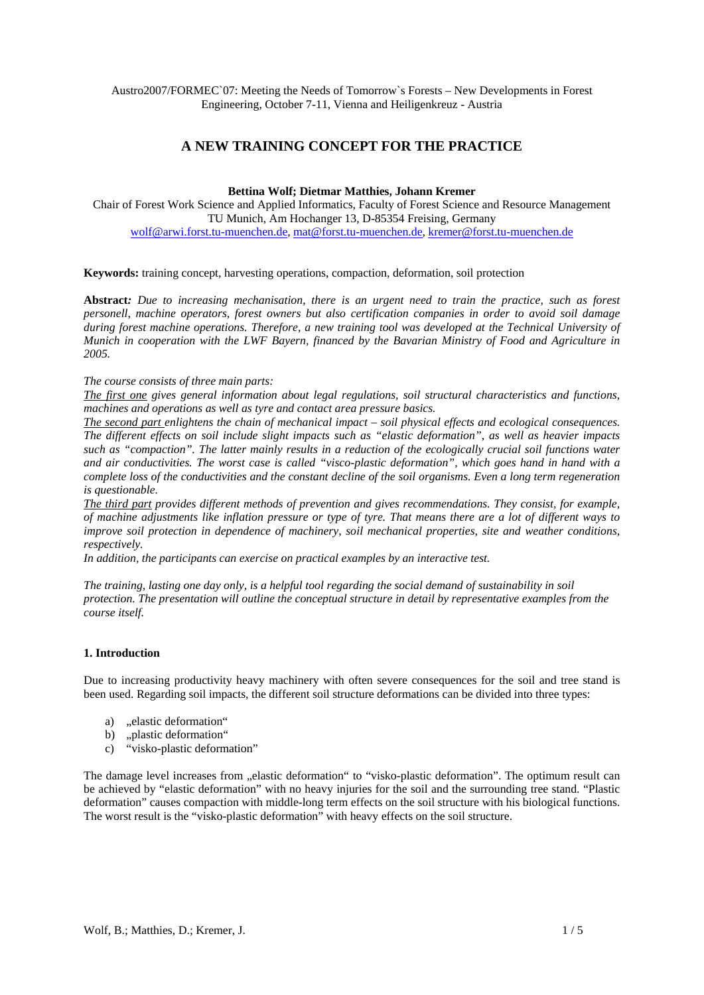Austro2007/FORMEC`07: Meeting the Needs of Tomorrow`s Forests – New Developments in Forest Engineering, October 7-11, Vienna and Heiligenkreuz - Austria

# **A NEW TRAINING CONCEPT FOR THE PRACTICE**

#### **Bettina Wolf; Dietmar Matthies, Johann Kremer**

Chair of Forest Work Science and Applied Informatics, Faculty of Forest Science and Resource Management TU Munich, Am Hochanger 13, D-85354 Freising, Germany wolf@arwi.forst.tu-muenchen.de, mat@forst.tu-muenchen.de, kremer@forst.tu-muenchen.de

### **Keywords:** training concept, harvesting operations, compaction, deformation, soil protection

**Abstract***: Due to increasing mechanisation, there is an urgent need to train the practice, such as forest personell, machine operators, forest owners but also certification companies in order to avoid soil damage during forest machine operations. Therefore, a new training tool was developed at the Technical University of Munich in cooperation with the LWF Bayern, financed by the Bavarian Ministry of Food and Agriculture in 2005.* 

*The course consists of three main parts:* 

*The first one gives general information about legal regulations, soil structural characteristics and functions, machines and operations as well as tyre and contact area pressure basics.* 

*The second part enlightens the chain of mechanical impact – soil physical effects and ecological consequences. The different effects on soil include slight impacts such as "elastic deformation", as well as heavier impacts such as "compaction". The latter mainly results in a reduction of the ecologically crucial soil functions water and air conductivities. The worst case is called "visco-plastic deformation", which goes hand in hand with a complete loss of the conductivities and the constant decline of the soil organisms. Even a long term regeneration is questionable.* 

*The third part provides different methods of prevention and gives recommendations. They consist, for example, of machine adjustments like inflation pressure or type of tyre. That means there are a lot of different ways to improve soil protection in dependence of machinery, soil mechanical properties, site and weather conditions, respectively.* 

*In addition, the participants can exercise on practical examples by an interactive test.* 

*The training, lasting one day only, is a helpful tool regarding the social demand of sustainability in soil protection. The presentation will outline the conceptual structure in detail by representative examples from the course itself.* 

## **1. Introduction**

Due to increasing productivity heavy machinery with often severe consequences for the soil and tree stand is been used. Regarding soil impacts, the different soil structure deformations can be divided into three types:

- a) .elastic deformation"
- b) "plastic deformation"
- c) "visko-plastic deformation"

The damage level increases from "elastic deformation" to "visko-plastic deformation". The optimum result can be achieved by "elastic deformation" with no heavy injuries for the soil and the surrounding tree stand. "Plastic deformation" causes compaction with middle-long term effects on the soil structure with his biological functions. The worst result is the "visko-plastic deformation" with heavy effects on the soil structure.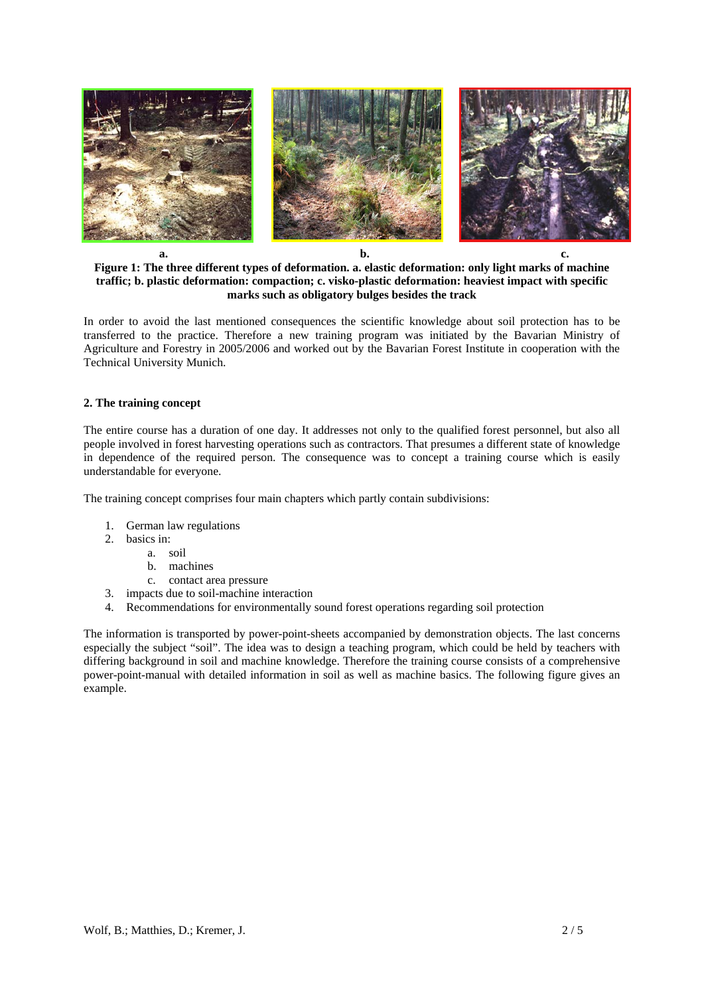

**Figure 1: The three different types of deformation. a. elastic deformation: only light marks of machine traffic; b. plastic deformation: compaction; c. visko-plastic deformation: heaviest impact with specific marks such as obligatory bulges besides the track** 

In order to avoid the last mentioned consequences the scientific knowledge about soil protection has to be transferred to the practice. Therefore a new training program was initiated by the Bavarian Ministry of Agriculture and Forestry in 2005/2006 and worked out by the Bavarian Forest Institute in cooperation with the Technical University Munich.

## **2. The training concept**

The entire course has a duration of one day. It addresses not only to the qualified forest personnel, but also all people involved in forest harvesting operations such as contractors. That presumes a different state of knowledge in dependence of the required person. The consequence was to concept a training course which is easily understandable for everyone.

The training concept comprises four main chapters which partly contain subdivisions:

- 1. German law regulations
- 2. basics in:
	- a. soil
	- b. machines
	- c. contact area pressure
- 3. impacts due to soil-machine interaction
- 4. Recommendations for environmentally sound forest operations regarding soil protection

The information is transported by power-point-sheets accompanied by demonstration objects. The last concerns especially the subject "soil". The idea was to design a teaching program, which could be held by teachers with differing background in soil and machine knowledge. Therefore the training course consists of a comprehensive power-point-manual with detailed information in soil as well as machine basics. The following figure gives an example.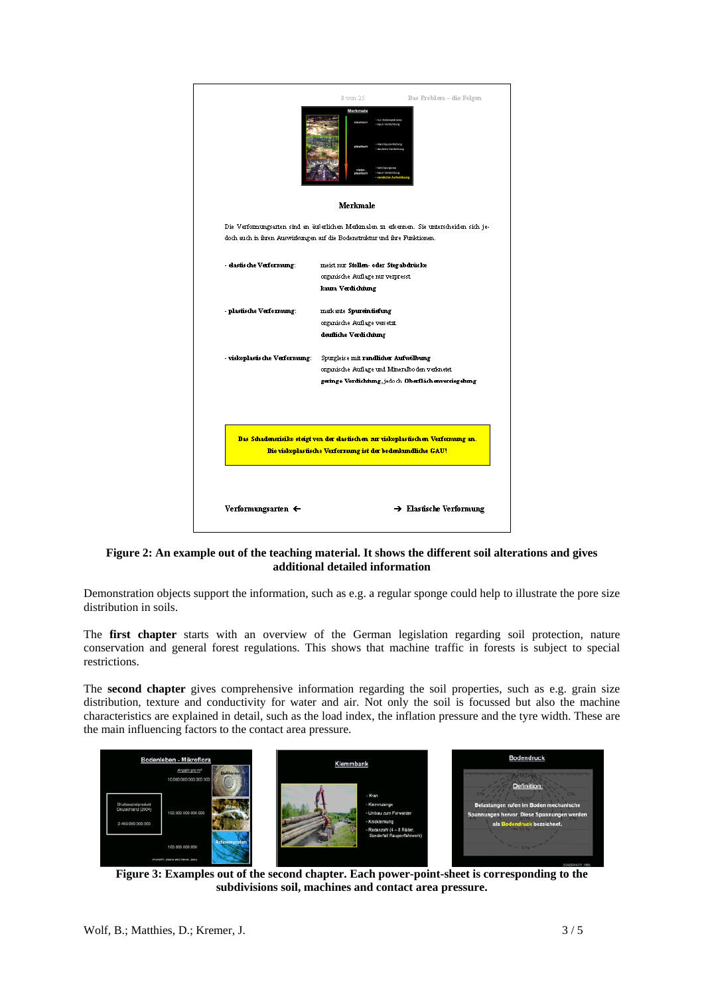|                                | 3 von 25<br>Das Problem - die Folgen<br>Merkmale                                                                                                                         |
|--------------------------------|--------------------------------------------------------------------------------------------------------------------------------------------------------------------------|
|                                | Merkmale                                                                                                                                                                 |
|                                | Die Verformungsatten sind an äußerlichen Merkmalen zu erkennen. Sie unterscheiden sich je-<br>doch such in ihren Auswirkungen suf die Bodenstruktur und ihre Funktionen. |
| - elastis che Verformung:      | meist rom Stollen- oder Stegabdrücke                                                                                                                                     |
|                                | organische Auflage nur verpresst.                                                                                                                                        |
|                                | kaum Verdichtung                                                                                                                                                         |
| - plastische Verformung:       | mark ante Spurein tiefung                                                                                                                                                |
|                                | organische Auflage versetzt                                                                                                                                              |
|                                | deufliche Verdichtung                                                                                                                                                    |
| - viskoplastis che Verformung: | Spurgleise mit randlicher Aufwölbung                                                                                                                                     |
|                                | organische Auflage und Mineralbo den verknetet.                                                                                                                          |
|                                | geringe Verdichtung, jedoch Oberflächenversiegelung                                                                                                                      |
|                                | Das Schadensrisiko steigt von der elastischen zur viskoplastischen Verformung an.<br>Die viskoplastische Verformung ist der bodenkundliche GAU!                          |
| Verformungsarten $\leftarrow$  | $\rightarrow$ Elastische Verformung                                                                                                                                      |

**Figure 2: An example out of the teaching material. It shows the different soil alterations and gives additional detailed information** 

Demonstration objects support the information, such as e.g. a regular sponge could help to illustrate the pore size distribution in soils.

The **first chapter** starts with an overview of the German legislation regarding soil protection, nature conservation and general forest regulations. This shows that machine traffic in forests is subject to special restrictions.

The **second chapter** gives comprehensive information regarding the soil properties, such as e.g. grain size distribution, texture and conductivity for water and air. Not only the soil is focussed but also the machine characteristics are explained in detail, such as the load index, the inflation pressure and the tyre width. These are the main influencing factors to the contact area pressure.



**Figure 3: Examples out of the second chapter. Each power-point-sheet is corresponding to the subdivisions soil, machines and contact area pressure.**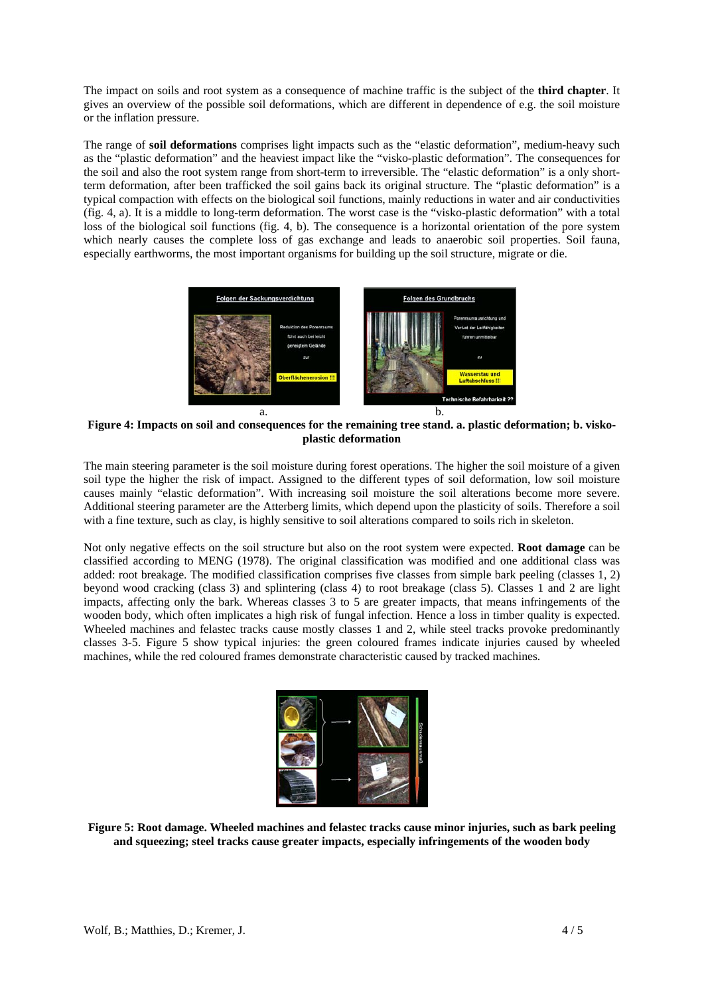The impact on soils and root system as a consequence of machine traffic is the subject of the **third chapter**. It gives an overview of the possible soil deformations, which are different in dependence of e.g. the soil moisture or the inflation pressure.

The range of **soil deformations** comprises light impacts such as the "elastic deformation", medium-heavy such as the "plastic deformation" and the heaviest impact like the "visko-plastic deformation". The consequences for the soil and also the root system range from short-term to irreversible. The "elastic deformation" is a only shortterm deformation, after been trafficked the soil gains back its original structure. The "plastic deformation" is a typical compaction with effects on the biological soil functions, mainly reductions in water and air conductivities (fig. 4, a). It is a middle to long-term deformation. The worst case is the "visko-plastic deformation" with a total loss of the biological soil functions (fig. 4, b). The consequence is a horizontal orientation of the pore system which nearly causes the complete loss of gas exchange and leads to anaerobic soil properties. Soil fauna, especially earthworms, the most important organisms for building up the soil structure, migrate or die.



**Figure 4: Impacts on soil and consequences for the remaining tree stand. a. plastic deformation; b. viskoplastic deformation** 

The main steering parameter is the soil moisture during forest operations. The higher the soil moisture of a given soil type the higher the risk of impact. Assigned to the different types of soil deformation, low soil moisture causes mainly "elastic deformation". With increasing soil moisture the soil alterations become more severe. Additional steering parameter are the Atterberg limits, which depend upon the plasticity of soils. Therefore a soil with a fine texture, such as clay, is highly sensitive to soil alterations compared to soils rich in skeleton.

Not only negative effects on the soil structure but also on the root system were expected. **Root damage** can be classified according to MENG (1978). The original classification was modified and one additional class was added: root breakage. The modified classification comprises five classes from simple bark peeling (classes 1, 2) beyond wood cracking (class 3) and splintering (class 4) to root breakage (class 5). Classes 1 and 2 are light impacts, affecting only the bark. Whereas classes 3 to 5 are greater impacts, that means infringements of the wooden body, which often implicates a high risk of fungal infection. Hence a loss in timber quality is expected. Wheeled machines and felastec tracks cause mostly classes 1 and 2, while steel tracks provoke predominantly classes 3-5. Figure 5 show typical injuries: the green coloured frames indicate injuries caused by wheeled machines, while the red coloured frames demonstrate characteristic caused by tracked machines.



**Figure 5: Root damage. Wheeled machines and felastec tracks cause minor injuries, such as bark peeling and squeezing; steel tracks cause greater impacts, especially infringements of the wooden body**